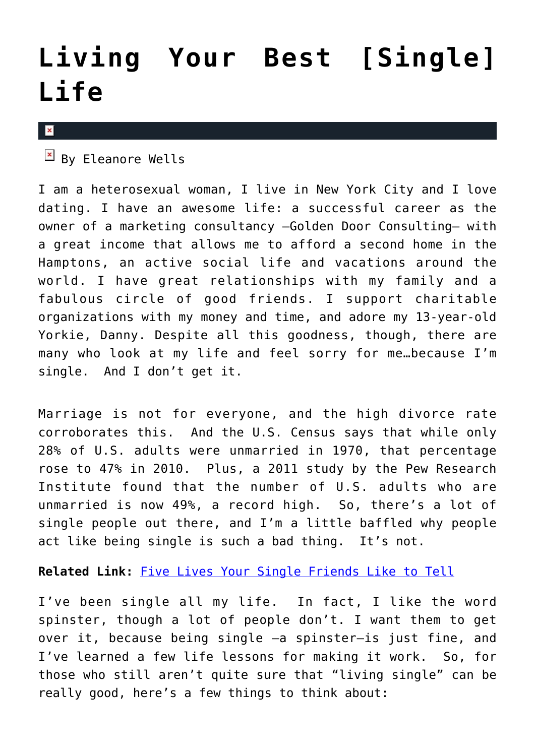## **[Living Your Best \[Single\]](https://cupidspulse.com/41433/living-your-best-single-life/) [Life](https://cupidspulse.com/41433/living-your-best-single-life/)**

 $\mathbf{x}$ 

 $\overline{B}$  By Eleanore Wells

I am a heterosexual woman, I live in New York City and I love dating. I have an awesome life: a successful career as the owner of a marketing consultancy —Golden Door Consulting— with a great income that allows me to afford a second home in the Hamptons, an active social life and vacations around the world. I have great relationships with my family and a fabulous circle of good friends. I support charitable organizations with my money and time, and adore my 13-year-old Yorkie, Danny. Despite all this goodness, though, there are many who look at my life and feel sorry for me…because I'm single. And I don't get it.

Marriage is not for everyone, and the high divorce rate corroborates this. And the U.S. Census says that while only 28% of U.S. adults were unmarried in 1970, that percentage rose to 47% in 2010. Plus, a 2011 study by the Pew Research Institute found that the number of U.S. adults who are unmarried is now 49%, a record high. So, there's a lot of single people out there, and I'm a little baffled why people act like being single is such a bad thing. It's not.

**Related Link:** [Five Lives Your Single Friends Like to Tell](http://cupidspulse.com/lies-single-friends-tell-dating-relationship/)

I've been single all my life. In fact, I like the word spinster, though a lot of people don't. I want them to get over it, because being single —a spinster–is just fine, and I've learned a few life lessons for making it work. So, for those who still aren't quite sure that "living single" can be really good, here's a few things to think about: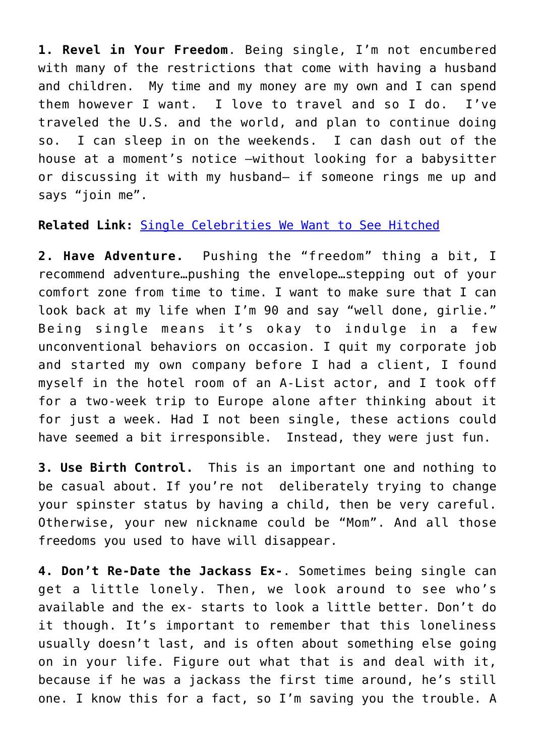**1. Revel in Your Freedom**. Being single, I'm not encumbered with many of the restrictions that come with having a husband and children. My time and my money are my own and I can spend them however I want. I love to travel and so I do. I've traveled the U.S. and the world, and plan to continue doing so. I can sleep in on the weekends. I can dash out of the house at a moment's notice —without looking for a babysitter or discussing it with my husband– if someone rings me up and says "join me".

## **Related Link:** [Single Celebrities We Want to See Hitched](http://cupidspulse.com/single-celebrities-hitched-marriage/)

**2. Have Adventure.** Pushing the "freedom" thing a bit, I recommend adventure…pushing the envelope…stepping out of your comfort zone from time to time. I want to make sure that I can look back at my life when I'm 90 and say "well done, girlie." Being single means it's okay to indulge in a few unconventional behaviors on occasion. I quit my corporate job and started my own company before I had a client, I found myself in the hotel room of an A-List actor, and I took off for a two-week trip to Europe alone after thinking about it for just a week. Had I not been single, these actions could have seemed a bit irresponsible. Instead, they were just fun.

**3. Use Birth Control.** This is an important one and nothing to be casual about. If you're not deliberately trying to change your spinster status by having a child, then be very careful. Otherwise, your new nickname could be "Mom". And all those freedoms you used to have will disappear.

**4. Don't Re-Date the Jackass Ex-**. Sometimes being single can get a little lonely. Then, we look around to see who's available and the ex- starts to look a little better. Don't do it though. It's important to remember that this loneliness usually doesn't last, and is often about something else going on in your life. Figure out what that is and deal with it, because if he was a jackass the first time around, he's still one. I know this for a fact, so I'm saving you the trouble. A